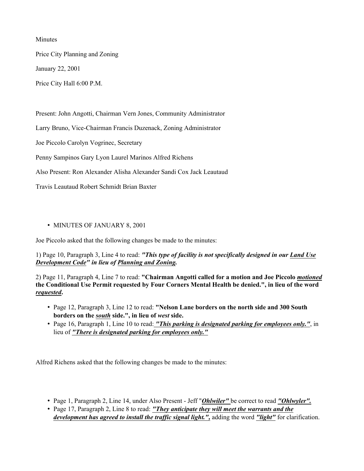Minutes

Price City Planning and Zoning

January 22, 2001

Price City Hall 6:00 P.M.

Present: John Angotti, Chairman Vern Jones, Community Administrator

Larry Bruno, Vice-Chairman Francis Duzenack, Zoning Administrator

Joe Piccolo Carolyn Vogrinec, Secretary

Penny Sampinos Gary Lyon Laurel Marinos Alfred Richens

Also Present: Ron Alexander Alisha Alexander Sandi Cox Jack Leautaud

Travis Leautaud Robert Schmidt Brian Baxter

# • MINUTES OF JANUARY 8, 2001

Joe Piccolo asked that the following changes be made to the minutes:

1) Page 10, Paragraph 3, Line 4 to read: "This type of facility is not specifically designed in our Land Use Development Code" in lieu of Planning and Zoning.

2) Page 11, Paragraph 4, Line 7 to read: "Chairman Angotti called for a motion and Joe Piccolo motioned the Conditional Use Permit requested by Four Corners Mental Health be denied.", in lieu of the word requested.

- Page 12, Paragraph 3, Line 12 to read: "Nelson Lane borders on the north side and 300 South borders on the south side.", in lieu of west side.
- Page 16, Paragraph 1, Line 10 to read: "This parking is designated parking for employees only.", in lieu of "There is designated parking for employees only."

Alfred Richens asked that the following changes be made to the minutes:

- Page 1, Paragraph 2, Line 14, under Also Present Jeff "*Ohlwiler*" be correct to read "*Ohlwyler*".
- Page 17, Paragraph 2, Line 8 to read: "They anticipate they will meet the warrants and the development has agreed to install the traffic signal light.", adding the word "light" for clarification.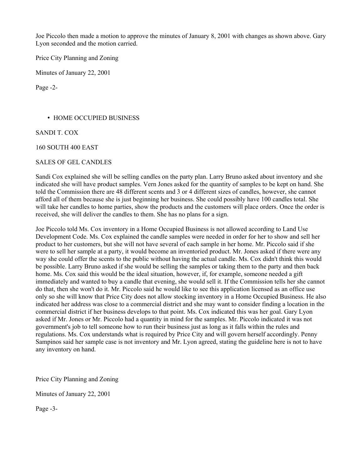Joe Piccolo then made a motion to approve the minutes of January 8, 2001 with changes as shown above. Gary Lyon seconded and the motion carried.

Price City Planning and Zoning

Minutes of January 22, 2001

Page -2-

## • HOME OCCUPIED BUSINESS

SANDI T. COX

160 SOUTH 400 EAST

#### SALES OF GEL CANDLES

Sandi Cox explained she will be selling candles on the party plan. Larry Bruno asked about inventory and she indicated she will have product samples. Vern Jones asked for the quantity of samples to be kept on hand. She told the Commission there are 48 different scents and 3 or 4 different sizes of candles, however, she cannot afford all of them because she is just beginning her business. She could possibly have 100 candles total. She will take her candles to home parties, show the products and the customers will place orders. Once the order is received, she will deliver the candles to them. She has no plans for a sign.

Joe Piccolo told Ms. Cox inventory in a Home Occupied Business is not allowed according to Land Use Development Code. Ms. Cox explained the candle samples were needed in order for her to show and sell her product to her customers, but she will not have several of each sample in her home. Mr. Piccolo said if she were to sell her sample at a party, it would become an inventoried product. Mr. Jones asked if there were any way she could offer the scents to the public without having the actual candle. Ms. Cox didn't think this would be possible. Larry Bruno asked if she would be selling the samples or taking them to the party and then back home. Ms. Cox said this would be the ideal situation, however, if, for example, someone needed a gift immediately and wanted to buy a candle that evening, she would sell it. If the Commission tells her she cannot do that, then she won't do it. Mr. Piccolo said he would like to see this application licensed as an office use only so she will know that Price City does not allow stocking inventory in a Home Occupied Business. He also indicated her address was close to a commercial district and she may want to consider finding a location in the commercial district if her business develops to that point. Ms. Cox indicated this was her goal. Gary Lyon asked if Mr. Jones or Mr. Piccolo had a quantity in mind for the samples. Mr. Piccolo indicated it was not government's job to tell someone how to run their business just as long as it falls within the rules and regulations. Ms. Cox understands what is required by Price City and will govern herself accordingly. Penny Sampinos said her sample case is not inventory and Mr. Lyon agreed, stating the guideline here is not to have any inventory on hand.

Price City Planning and Zoning

Minutes of January 22, 2001

Page -3-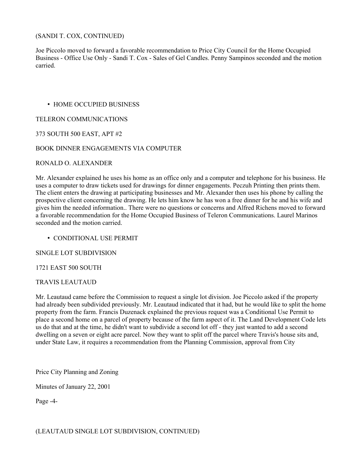## (SANDI T. COX, CONTINUED)

Joe Piccolo moved to forward a favorable recommendation to Price City Council for the Home Occupied Business - Office Use Only - Sandi T. Cox - Sales of Gel Candles. Penny Sampinos seconded and the motion carried.

# • HOME OCCUPIED BUSINESS

## TELERON COMMUNICATIONS

# 373 SOUTH 500 EAST, APT #2

# BOOK DINNER ENGAGEMENTS VIA COMPUTER

#### RONALD O. ALEXANDER

Mr. Alexander explained he uses his home as an office only and a computer and telephone for his business. He uses a computer to draw tickets used for drawings for dinner engagements. Peczuh Printing then prints them. The client enters the drawing at participating businesses and Mr. Alexander then uses his phone by calling the prospective client concerning the drawing. He lets him know he has won a free dinner for he and his wife and gives him the needed information.. There were no questions or concerns and Alfred Richens moved to forward a favorable recommendation for the Home Occupied Business of Teleron Communications. Laurel Marinos seconded and the motion carried.

#### • CONDITIONAL USE PERMIT

#### SINGLE LOT SUBDIVISION

#### 1721 EAST 500 SOUTH

#### TRAVIS LEAUTAUD

Mr. Leautaud came before the Commission to request a single lot division. Joe Piccolo asked if the property had already been subdivided previously. Mr. Leautaud indicated that it had, but he would like to split the home property from the farm. Francis Duzenack explained the previous request was a Conditional Use Permit to place a second home on a parcel of property because of the farm aspect of it. The Land Development Code lets us do that and at the time, he didn't want to subdivide a second lot off - they just wanted to add a second dwelling on a seven or eight acre parcel. Now they want to split off the parcel where Travis's house sits and, under State Law, it requires a recommendation from the Planning Commission, approval from City

Price City Planning and Zoning

Minutes of January 22, 2001

Page -4-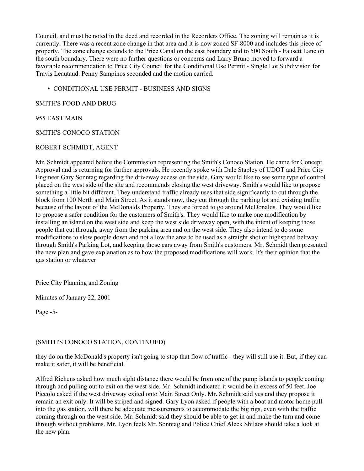Council. and must be noted in the deed and recorded in the Recorders Office. The zoning will remain as it is currently. There was a recent zone change in that area and it is now zoned SF-8000 and includes this piece of property. The zone change extends to the Price Canal on the east boundary and to 500 South - Fausett Lane on the south boundary. There were no further questions or concerns and Larry Bruno moved to forward a favorable recommendation to Price City Council for the Conditional Use Permit - Single Lot Subdivision for Travis Leautaud. Penny Sampinos seconded and the motion carried.

## • CONDITIONAL USE PERMIT - BUSINESS AND SIGNS

## SMITH'S FOOD AND DRUG

## 955 EAST MAIN

# SMITH'S CONOCO STATION

# ROBERT SCHMIDT, AGENT

Mr. Schmidt appeared before the Commission representing the Smith's Conoco Station. He came for Concept Approval and is returning for further approvals. He recently spoke with Dale Stapley of UDOT and Price City Engineer Gary Sonntag regarding the driveway access on the side. Gary would like to see some type of control placed on the west side of the site and recommends closing the west driveway. Smith's would like to propose something a little bit different. They understand traffic already uses that side significantly to cut through the block from 100 North and Main Street. As it stands now, they cut through the parking lot and existing traffic because of the layout of the McDonalds Property. They are forced to go around McDonalds. They would like to propose a safer condition for the customers of Smith's. They would like to make one modification by installing an island on the west side and keep the west side driveway open, with the intent of keeping those people that cut through, away from the parking area and on the west side. They also intend to do some modifications to slow people down and not allow the area to be used as a straight shot or highspeed beltway through Smith's Parking Lot, and keeping those cars away from Smith's customers. Mr. Schmidt then presented the new plan and gave explanation as to how the proposed modifications will work. It's their opinion that the gas station or whatever

Price City Planning and Zoning

Minutes of January 22, 2001

Page -5-

# (SMITH'S CONOCO STATION, CONTINUED)

they do on the McDonald's property isn't going to stop that flow of traffic - they will still use it. But, if they can make it safer, it will be beneficial.

Alfred Richens asked how much sight distance there would be from one of the pump islands to people coming through and pulling out to exit on the west side. Mr. Schmidt indicated it would be in excess of 50 feet. Joe Piccolo asked if the west driveway exited onto Main Street Only. Mr. Schmidt said yes and they propose it remain an exit only. It will be striped and signed. Gary Lyon asked if people with a boat and motor home pull into the gas station, will there be adequate measurements to accommodate the big rigs, even with the traffic coming through on the west side. Mr. Schmidt said they should be able to get in and make the turn and come through without problems. Mr. Lyon feels Mr. Sonntag and Police Chief Aleck Shilaos should take a look at the new plan.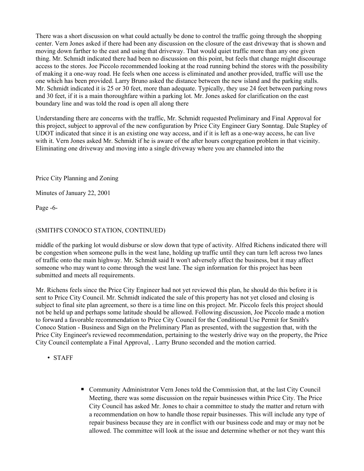There was a short discussion on what could actually be done to control the traffic going through the shopping center. Vern Jones asked if there had been any discussion on the closure of the east driveway that is shown and moving down farther to the east and using that driveway. That would quiet traffic more than any one given thing. Mr. Schmidt indicated there had been no discussion on this point, but feels that change might discourage access to the stores. Joe Piccolo recommended looking at the road running behind the stores with the possibility of making it a one-way road. He feels when one access is eliminated and another provided, traffic will use the one which has been provided. Larry Bruno asked the distance between the new island and the parking stalls. Mr. Schmidt indicated it is 25 or 30 feet, more than adequate. Typically, they use 24 feet between parking rows and 30 feet, if it is a main thoroughfare within a parking lot. Mr. Jones asked for clarification on the east boundary line and was told the road is open all along there

Understanding there are concerns with the traffic, Mr. Schmidt requested Preliminary and Final Approval for this project, subject to approval of the new configuration by Price City Engineer Gary Sonntag. Dale Stapley of UDOT indicated that since it is an existing one way access, and if it is left as a one-way access, he can live with it. Vern Jones asked Mr. Schmidt if he is aware of the after hours congregation problem in that vicinity. Eliminating one driveway and moving into a single driveway where you are channeled into the

Price City Planning and Zoning

Minutes of January 22, 2001

Page -6-

# (SMITH'S CONOCO STATION, CONTINUED)

middle of the parking lot would disburse or slow down that type of activity. Alfred Richens indicated there will be congestion when someone pulls in the west lane, holding up traffic until they can turn left across two lanes of traffic onto the main highway. Mr. Schmidt said It won't adversely affect the business, but it may affect someone who may want to come through the west lane. The sign information for this project has been submitted and meets all requirements.

Mr. Richens feels since the Price City Engineer had not yet reviewed this plan, he should do this before it is sent to Price City Council. Mr. Schmidt indicated the sale of this property has not yet closed and closing is subject to final site plan agreement, so there is a time line on this project. Mr. Piccolo feels this project should not be held up and perhaps some latitude should be allowed. Following discussion, Joe Piccolo made a motion to forward a favorable recommendation to Price City Council for the Conditional Use Permit for Smith's Conoco Station - Business and Sign on the Preliminary Plan as presented, with the suggestion that, with the Price City Engineer's reviewed recommendation, pertaining to the westerly drive way on the property, the Price City Council contemplate a Final Approval, . Larry Bruno seconded and the motion carried.

• STAFF

■ Community Administrator Vern Jones told the Commission that, at the last City Council Meeting, there was some discussion on the repair businesses within Price City. The Price City Council has asked Mr. Jones to chair a committee to study the matter and return with a recommendation on how to handle those repair businesses. This will include any type of repair business because they are in conflict with our business code and may or may not be allowed. The committee will look at the issue and determine whether or not they want this